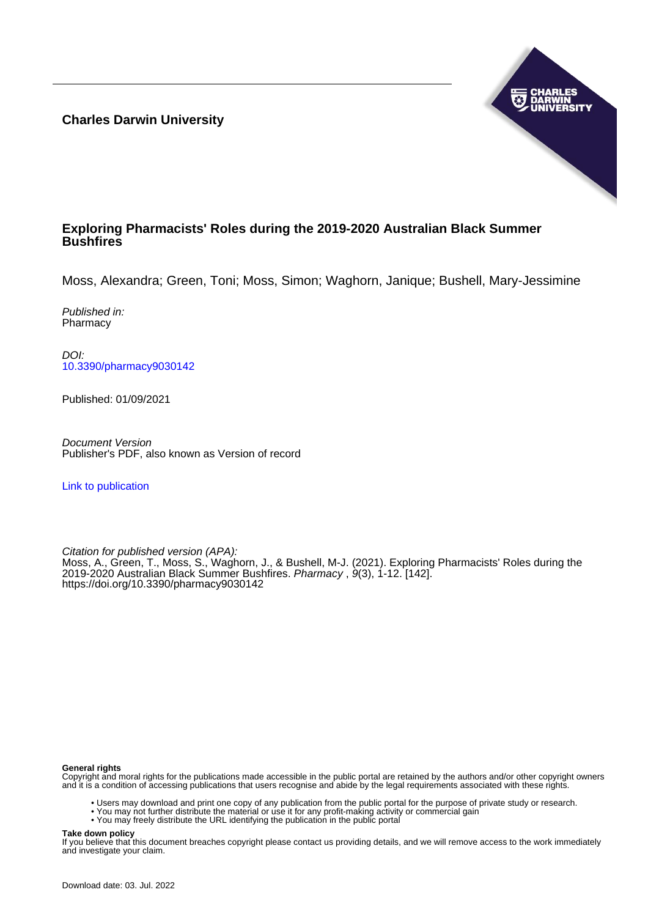**Charles Darwin University**



## **Exploring Pharmacists' Roles during the 2019-2020 Australian Black Summer Bushfires**

Moss, Alexandra; Green, Toni; Moss, Simon; Waghorn, Janique; Bushell, Mary-Jessimine

Published in: Pharmacy

DOI: [10.3390/pharmacy9030142](https://doi.org/10.3390/pharmacy9030142)

Published: 01/09/2021

Document Version Publisher's PDF, also known as Version of record

[Link to publication](https://researchers.cdu.edu.au/en/publications/0ce68adf-e36c-4499-bdc0-18ad9d25a2ab)

Citation for published version (APA): Moss, A., Green, T., Moss, S., Waghorn, J., & Bushell, M-J. (2021). Exploring Pharmacists' Roles during the 2019-2020 Australian Black Summer Bushfires. Pharmacy, 9(3), 1-12. [142]. <https://doi.org/10.3390/pharmacy9030142>

#### **General rights**

Copyright and moral rights for the publications made accessible in the public portal are retained by the authors and/or other copyright owners and it is a condition of accessing publications that users recognise and abide by the legal requirements associated with these rights.

- Users may download and print one copy of any publication from the public portal for the purpose of private study or research.
- You may not further distribute the material or use it for any profit-making activity or commercial gain
- You may freely distribute the URL identifying the publication in the public portal

#### **Take down policy**

If you believe that this document breaches copyright please contact us providing details, and we will remove access to the work immediately and investigate your claim.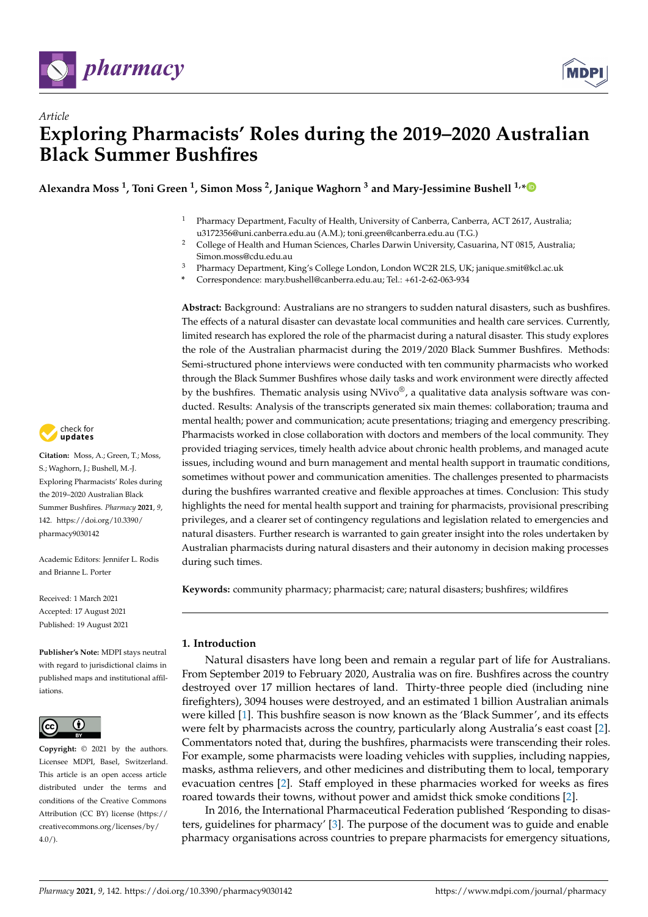

*Article*



# **Exploring Pharmacists' Roles during the 2019–2020 Australian Black Summer Bushfires**

**Alexandra Moss <sup>1</sup> , Toni Green <sup>1</sup> , Simon Moss <sup>2</sup> , Janique Waghorn <sup>3</sup> and Mary-Jessimine Bushell 1,[\\*](https://orcid.org/0000-0002-9262-0113)**

- <sup>1</sup> Pharmacy Department, Faculty of Health, University of Canberra, Canberra, ACT 2617, Australia; u3172356@uni.canberra.edu.au (A.M.); toni.green@canberra.edu.au (T.G.)
- <sup>2</sup> College of Health and Human Sciences, Charles Darwin University, Casuarina, NT 0815, Australia; Simon.moss@cdu.edu.au
- <sup>3</sup> Pharmacy Department, King's College London, London WC2R 2LS, UK; janique.smit@kcl.ac.uk
- **\*** Correspondence: mary.bushell@canberra.edu.au; Tel.: +61-2-62-063-934

**Abstract:** Background: Australians are no strangers to sudden natural disasters, such as bushfires. The effects of a natural disaster can devastate local communities and health care services. Currently, limited research has explored the role of the pharmacist during a natural disaster. This study explores the role of the Australian pharmacist during the 2019/2020 Black Summer Bushfires. Methods: Semi-structured phone interviews were conducted with ten community pharmacists who worked through the Black Summer Bushfires whose daily tasks and work environment were directly affected by the bushfires. Thematic analysis using  $NVivo^{\circledcirc}$ , a qualitative data analysis software was conducted. Results: Analysis of the transcripts generated six main themes: collaboration; trauma and mental health; power and communication; acute presentations; triaging and emergency prescribing. Pharmacists worked in close collaboration with doctors and members of the local community. They provided triaging services, timely health advice about chronic health problems, and managed acute issues, including wound and burn management and mental health support in traumatic conditions, sometimes without power and communication amenities. The challenges presented to pharmacists during the bushfires warranted creative and flexible approaches at times. Conclusion: This study highlights the need for mental health support and training for pharmacists, provisional prescribing privileges, and a clearer set of contingency regulations and legislation related to emergencies and natural disasters. Further research is warranted to gain greater insight into the roles undertaken by Australian pharmacists during natural disasters and their autonomy in decision making processes during such times.

**Keywords:** community pharmacy; pharmacist; care; natural disasters; bushfires; wildfires

## **1. Introduction**

Natural disasters have long been and remain a regular part of life for Australians. From September 2019 to February 2020, Australia was on fire. Bushfires across the country destroyed over 17 million hectares of land. Thirty-three people died (including nine firefighters), 3094 houses were destroyed, and an estimated 1 billion Australian animals were killed [\[1\]](#page-11-0). This bushfire season is now known as the 'Black Summer', and its effects were felt by pharmacists across the country, particularly along Australia's east coast [\[2\]](#page-11-1). Commentators noted that, during the bushfires, pharmacists were transcending their roles. For example, some pharmacists were loading vehicles with supplies, including nappies, masks, asthma relievers, and other medicines and distributing them to local, temporary evacuation centres [\[2\]](#page-11-1). Staff employed in these pharmacies worked for weeks as fires roared towards their towns, without power and amidst thick smoke conditions [\[2\]](#page-11-1).

In 2016, the International Pharmaceutical Federation published 'Responding to disasters, guidelines for pharmacy' [\[3\]](#page-11-2). The purpose of the document was to guide and enable pharmacy organisations across countries to prepare pharmacists for emergency situations,



**Citation:** Moss, A.; Green, T.; Moss, S.; Waghorn, J.; Bushell, M.-J. Exploring Pharmacists' Roles during the 2019–2020 Australian Black Summer Bushfires. *Pharmacy* **2021**, *9*, 142. [https://doi.org/10.3390/](https://doi.org/10.3390/pharmacy9030142) [pharmacy9030142](https://doi.org/10.3390/pharmacy9030142)

Academic Editors: Jennifer L. Rodis and Brianne L. Porter

Received: 1 March 2021 Accepted: 17 August 2021 Published: 19 August 2021

**Publisher's Note:** MDPI stays neutral with regard to jurisdictional claims in published maps and institutional affiliations.



**Copyright:** © 2021 by the authors. Licensee MDPI, Basel, Switzerland. This article is an open access article distributed under the terms and conditions of the Creative Commons Attribution (CC BY) license (https:/[/](https://creativecommons.org/licenses/by/4.0/) [creativecommons.org/licenses/by/](https://creativecommons.org/licenses/by/4.0/)  $4.0/$ ).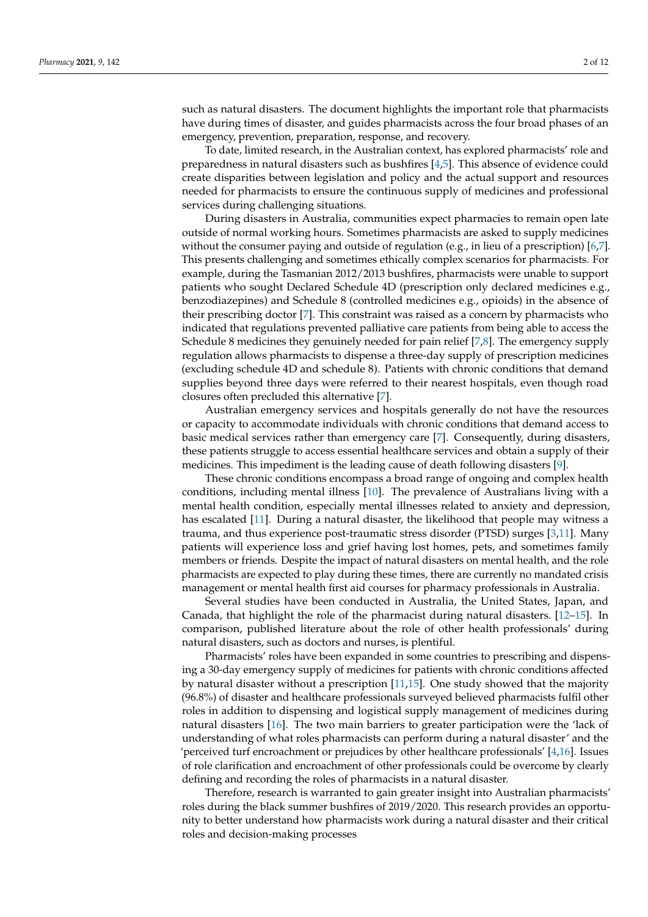such as natural disasters. The document highlights the important role that pharmacists have during times of disaster, and guides pharmacists across the four broad phases of an emergency, prevention, preparation, response, and recovery.

To date, limited research, in the Australian context, has explored pharmacists' role and preparedness in natural disasters such as bushfires [\[4](#page-11-3)[,5\]](#page-11-4). This absence of evidence could create disparities between legislation and policy and the actual support and resources needed for pharmacists to ensure the continuous supply of medicines and professional services during challenging situations.

During disasters in Australia, communities expect pharmacies to remain open late outside of normal working hours. Sometimes pharmacists are asked to supply medicines without the consumer paying and outside of regulation (e.g., in lieu of a prescription) [\[6](#page-11-5)[,7\]](#page-11-6). This presents challenging and sometimes ethically complex scenarios for pharmacists. For example, during the Tasmanian 2012/2013 bushfires, pharmacists were unable to support patients who sought Declared Schedule 4D (prescription only declared medicines e.g., benzodiazepines) and Schedule 8 (controlled medicines e.g., opioids) in the absence of their prescribing doctor [\[7\]](#page-11-6). This constraint was raised as a concern by pharmacists who indicated that regulations prevented palliative care patients from being able to access the Schedule 8 medicines they genuinely needed for pain relief [\[7](#page-11-6)[,8\]](#page-11-7). The emergency supply regulation allows pharmacists to dispense a three-day supply of prescription medicines (excluding schedule 4D and schedule 8). Patients with chronic conditions that demand supplies beyond three days were referred to their nearest hospitals, even though road closures often precluded this alternative [\[7\]](#page-11-6).

Australian emergency services and hospitals generally do not have the resources or capacity to accommodate individuals with chronic conditions that demand access to basic medical services rather than emergency care [\[7\]](#page-11-6). Consequently, during disasters, these patients struggle to access essential healthcare services and obtain a supply of their medicines. This impediment is the leading cause of death following disasters [\[9\]](#page-11-8).

These chronic conditions encompass a broad range of ongoing and complex health conditions, including mental illness [\[10\]](#page-11-9). The prevalence of Australians living with a mental health condition, especially mental illnesses related to anxiety and depression, has escalated [\[11\]](#page-11-10). During a natural disaster, the likelihood that people may witness a trauma, and thus experience post-traumatic stress disorder (PTSD) surges [\[3,](#page-11-2)[11\]](#page-11-10). Many patients will experience loss and grief having lost homes, pets, and sometimes family members or friends. Despite the impact of natural disasters on mental health, and the role pharmacists are expected to play during these times, there are currently no mandated crisis management or mental health first aid courses for pharmacy professionals in Australia.

Several studies have been conducted in Australia, the United States, Japan, and Canada, that highlight the role of the pharmacist during natural disasters. [\[12](#page-11-11)[–15\]](#page-11-12). In comparison, published literature about the role of other health professionals' during natural disasters, such as doctors and nurses, is plentiful.

Pharmacists' roles have been expanded in some countries to prescribing and dispensing a 30-day emergency supply of medicines for patients with chronic conditions affected by natural disaster without a prescription  $[11,15]$  $[11,15]$ . One study showed that the majority (96.8%) of disaster and healthcare professionals surveyed believed pharmacists fulfil other roles in addition to dispensing and logistical supply management of medicines during natural disasters [\[16\]](#page-11-13). The two main barriers to greater participation were the 'lack of understanding of what roles pharmacists can perform during a natural disaster' and the 'perceived turf encroachment or prejudices by other healthcare professionals' [\[4,](#page-11-3)[16\]](#page-11-13). Issues of role clarification and encroachment of other professionals could be overcome by clearly defining and recording the roles of pharmacists in a natural disaster.

Therefore, research is warranted to gain greater insight into Australian pharmacists' roles during the black summer bushfires of 2019/2020. This research provides an opportunity to better understand how pharmacists work during a natural disaster and their critical roles and decision-making processes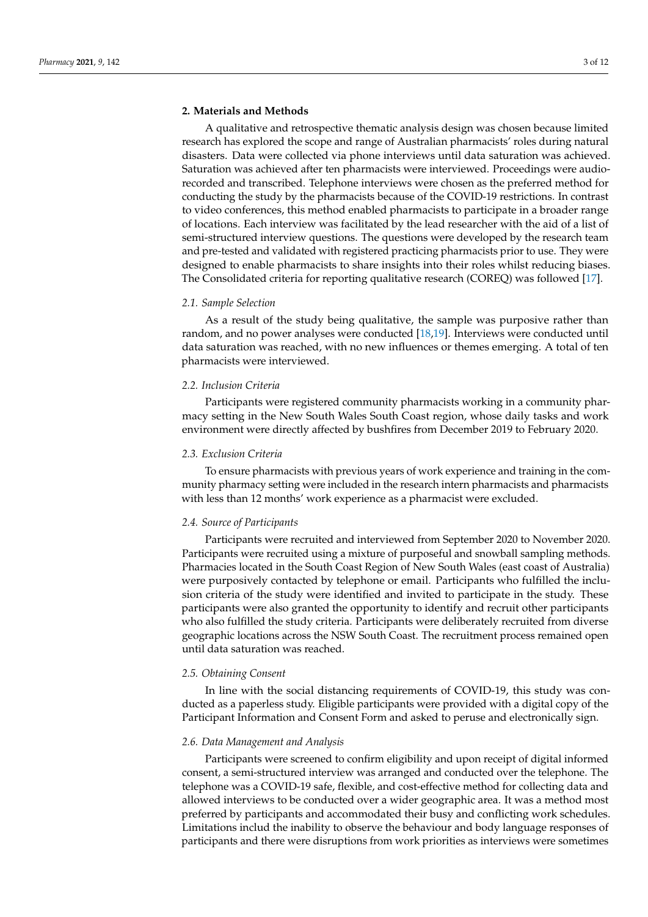### **2. Materials and Methods**

A qualitative and retrospective thematic analysis design was chosen because limited research has explored the scope and range of Australian pharmacists' roles during natural disasters. Data were collected via phone interviews until data saturation was achieved. Saturation was achieved after ten pharmacists were interviewed. Proceedings were audiorecorded and transcribed. Telephone interviews were chosen as the preferred method for conducting the study by the pharmacists because of the COVID-19 restrictions. In contrast to video conferences, this method enabled pharmacists to participate in a broader range of locations. Each interview was facilitated by the lead researcher with the aid of a list of semi-structured interview questions. The questions were developed by the research team and pre-tested and validated with registered practicing pharmacists prior to use. They were designed to enable pharmacists to share insights into their roles whilst reducing biases. The Consolidated criteria for reporting qualitative research (COREQ) was followed [\[17\]](#page-11-14).

#### *2.1. Sample Selection*

As a result of the study being qualitative, the sample was purposive rather than random, and no power analyses were conducted [\[18](#page-11-15)[,19\]](#page-11-16). Interviews were conducted until data saturation was reached, with no new influences or themes emerging. A total of ten pharmacists were interviewed.

#### *2.2. Inclusion Criteria*

Participants were registered community pharmacists working in a community pharmacy setting in the New South Wales South Coast region, whose daily tasks and work environment were directly affected by bushfires from December 2019 to February 2020.

#### *2.3. Exclusion Criteria*

To ensure pharmacists with previous years of work experience and training in the community pharmacy setting were included in the research intern pharmacists and pharmacists with less than 12 months' work experience as a pharmacist were excluded.

#### *2.4. Source of Participants*

Participants were recruited and interviewed from September 2020 to November 2020. Participants were recruited using a mixture of purposeful and snowball sampling methods. Pharmacies located in the South Coast Region of New South Wales (east coast of Australia) were purposively contacted by telephone or email. Participants who fulfilled the inclusion criteria of the study were identified and invited to participate in the study. These participants were also granted the opportunity to identify and recruit other participants who also fulfilled the study criteria. Participants were deliberately recruited from diverse geographic locations across the NSW South Coast. The recruitment process remained open until data saturation was reached.

#### *2.5. Obtaining Consent*

In line with the social distancing requirements of COVID-19, this study was conducted as a paperless study. Eligible participants were provided with a digital copy of the Participant Information and Consent Form and asked to peruse and electronically sign.

#### *2.6. Data Management and Analysis*

Participants were screened to confirm eligibility and upon receipt of digital informed consent, a semi-structured interview was arranged and conducted over the telephone. The telephone was a COVID-19 safe, flexible, and cost-effective method for collecting data and allowed interviews to be conducted over a wider geographic area. It was a method most preferred by participants and accommodated their busy and conflicting work schedules. Limitations includ the inability to observe the behaviour and body language responses of participants and there were disruptions from work priorities as interviews were sometimes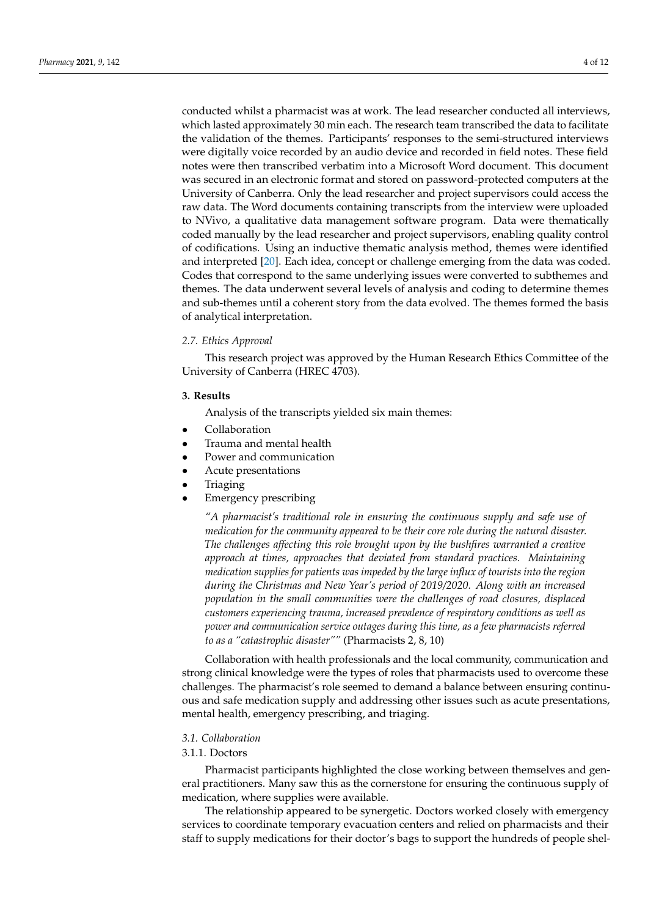conducted whilst a pharmacist was at work. The lead researcher conducted all interviews, which lasted approximately 30 min each. The research team transcribed the data to facilitate the validation of the themes. Participants' responses to the semi-structured interviews were digitally voice recorded by an audio device and recorded in field notes. These field notes were then transcribed verbatim into a Microsoft Word document. This document was secured in an electronic format and stored on password-protected computers at the University of Canberra. Only the lead researcher and project supervisors could access the raw data. The Word documents containing transcripts from the interview were uploaded to NVivo, a qualitative data management software program. Data were thematically coded manually by the lead researcher and project supervisors, enabling quality control of codifications. Using an inductive thematic analysis method, themes were identified and interpreted [\[20\]](#page-11-17). Each idea, concept or challenge emerging from the data was coded. Codes that correspond to the same underlying issues were converted to subthemes and themes. The data underwent several levels of analysis and coding to determine themes and sub-themes until a coherent story from the data evolved. The themes formed the basis of analytical interpretation.

#### *2.7. Ethics Approval*

This research project was approved by the Human Research Ethics Committee of the University of Canberra (HREC 4703).

#### **3. Results**

Analysis of the transcripts yielded six main themes:

- Collaboration
- Trauma and mental health
- Power and communication
- Acute presentations
- Triaging
- Emergency prescribing

*"A pharmacist's traditional role in ensuring the continuous supply and safe use of medication for the community appeared to be their core role during the natural disaster. The challenges affecting this role brought upon by the bushfires warranted a creative approach at times, approaches that deviated from standard practices. Maintaining medication supplies for patients was impeded by the large influx of tourists into the region during the Christmas and New Year's period of 2019/2020. Along with an increased population in the small communities were the challenges of road closures, displaced customers experiencing trauma, increased prevalence of respiratory conditions as well as power and communication service outages during this time, as a few pharmacists referred to as a "catastrophic disaster""* (Pharmacists 2, 8, 10)

Collaboration with health professionals and the local community, communication and strong clinical knowledge were the types of roles that pharmacists used to overcome these challenges. The pharmacist's role seemed to demand a balance between ensuring continuous and safe medication supply and addressing other issues such as acute presentations, mental health, emergency prescribing, and triaging.

### *3.1. Collaboration*

## 3.1.1. Doctors

Pharmacist participants highlighted the close working between themselves and general practitioners. Many saw this as the cornerstone for ensuring the continuous supply of medication, where supplies were available.

The relationship appeared to be synergetic. Doctors worked closely with emergency services to coordinate temporary evacuation centers and relied on pharmacists and their staff to supply medications for their doctor's bags to support the hundreds of people shel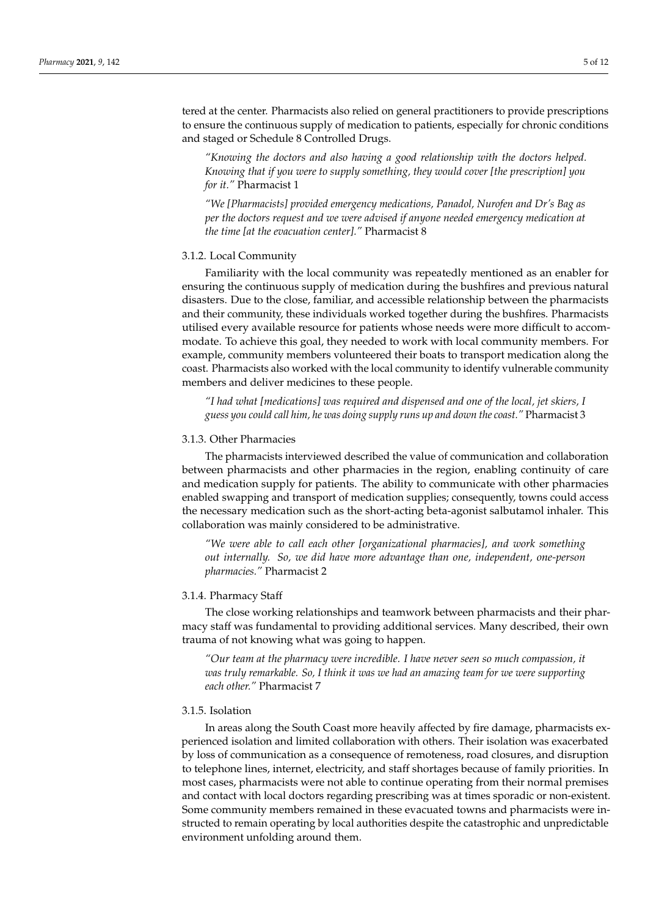tered at the center. Pharmacists also relied on general practitioners to provide prescriptions to ensure the continuous supply of medication to patients, especially for chronic conditions and staged or Schedule 8 Controlled Drugs.

*"Knowing the doctors and also having a good relationship with the doctors helped. Knowing that if you were to supply something, they would cover [the prescription] you for it."* Pharmacist 1

*"We [Pharmacists] provided emergency medications, Panadol, Nurofen and Dr's Bag as per the doctors request and we were advised if anyone needed emergency medication at the time [at the evacuation center]."* Pharmacist 8

#### 3.1.2. Local Community

Familiarity with the local community was repeatedly mentioned as an enabler for ensuring the continuous supply of medication during the bushfires and previous natural disasters. Due to the close, familiar, and accessible relationship between the pharmacists and their community, these individuals worked together during the bushfires. Pharmacists utilised every available resource for patients whose needs were more difficult to accommodate. To achieve this goal, they needed to work with local community members. For example, community members volunteered their boats to transport medication along the coast. Pharmacists also worked with the local community to identify vulnerable community members and deliver medicines to these people.

*"I had what [medications] was required and dispensed and one of the local, jet skiers, I guess you could call him, he was doing supply runs up and down the coast."* Pharmacist 3

#### 3.1.3. Other Pharmacies

The pharmacists interviewed described the value of communication and collaboration between pharmacists and other pharmacies in the region, enabling continuity of care and medication supply for patients. The ability to communicate with other pharmacies enabled swapping and transport of medication supplies; consequently, towns could access the necessary medication such as the short-acting beta-agonist salbutamol inhaler. This collaboration was mainly considered to be administrative.

*"We were able to call each other [organizational pharmacies], and work something out internally. So, we did have more advantage than one, independent, one-person pharmacies."* Pharmacist 2

### 3.1.4. Pharmacy Staff

The close working relationships and teamwork between pharmacists and their pharmacy staff was fundamental to providing additional services. Many described, their own trauma of not knowing what was going to happen.

*"Our team at the pharmacy were incredible. I have never seen so much compassion, it was truly remarkable. So, I think it was we had an amazing team for we were supporting each other."* Pharmacist 7

#### 3.1.5. Isolation

In areas along the South Coast more heavily affected by fire damage, pharmacists experienced isolation and limited collaboration with others. Their isolation was exacerbated by loss of communication as a consequence of remoteness, road closures, and disruption to telephone lines, internet, electricity, and staff shortages because of family priorities. In most cases, pharmacists were not able to continue operating from their normal premises and contact with local doctors regarding prescribing was at times sporadic or non-existent. Some community members remained in these evacuated towns and pharmacists were instructed to remain operating by local authorities despite the catastrophic and unpredictable environment unfolding around them.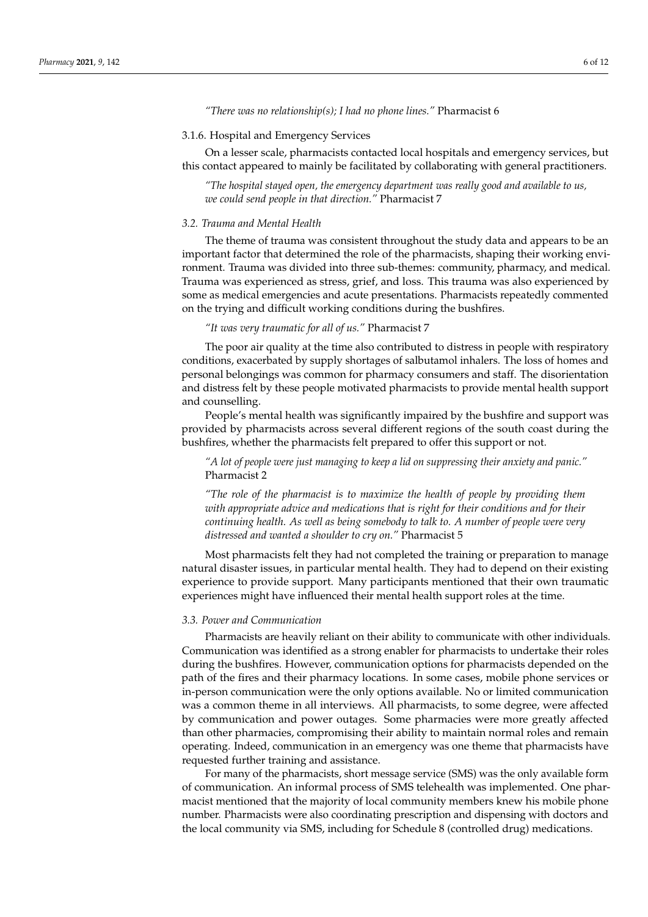#### *"There was no relationship(s); I had no phone lines."* Pharmacist 6

#### 3.1.6. Hospital and Emergency Services

On a lesser scale, pharmacists contacted local hospitals and emergency services, but this contact appeared to mainly be facilitated by collaborating with general practitioners.

*"The hospital stayed open, the emergency department was really good and available to us, we could send people in that direction."* Pharmacist 7

#### *3.2. Trauma and Mental Health*

The theme of trauma was consistent throughout the study data and appears to be an important factor that determined the role of the pharmacists, shaping their working environment. Trauma was divided into three sub-themes: community, pharmacy, and medical. Trauma was experienced as stress, grief, and loss. This trauma was also experienced by some as medical emergencies and acute presentations. Pharmacists repeatedly commented on the trying and difficult working conditions during the bushfires.

## *"It was very traumatic for all of us."* Pharmacist 7

The poor air quality at the time also contributed to distress in people with respiratory conditions, exacerbated by supply shortages of salbutamol inhalers. The loss of homes and personal belongings was common for pharmacy consumers and staff. The disorientation and distress felt by these people motivated pharmacists to provide mental health support and counselling.

People's mental health was significantly impaired by the bushfire and support was provided by pharmacists across several different regions of the south coast during the bushfires, whether the pharmacists felt prepared to offer this support or not.

*"A lot of people were just managing to keep a lid on suppressing their anxiety and panic."* Pharmacist 2

*"The role of the pharmacist is to maximize the health of people by providing them with appropriate advice and medications that is right for their conditions and for their continuing health. As well as being somebody to talk to. A number of people were very distressed and wanted a shoulder to cry on."* Pharmacist 5

Most pharmacists felt they had not completed the training or preparation to manage natural disaster issues, in particular mental health. They had to depend on their existing experience to provide support. Many participants mentioned that their own traumatic experiences might have influenced their mental health support roles at the time.

#### *3.3. Power and Communication*

Pharmacists are heavily reliant on their ability to communicate with other individuals. Communication was identified as a strong enabler for pharmacists to undertake their roles during the bushfires. However, communication options for pharmacists depended on the path of the fires and their pharmacy locations. In some cases, mobile phone services or in-person communication were the only options available. No or limited communication was a common theme in all interviews. All pharmacists, to some degree, were affected by communication and power outages. Some pharmacies were more greatly affected than other pharmacies, compromising their ability to maintain normal roles and remain operating. Indeed, communication in an emergency was one theme that pharmacists have requested further training and assistance.

For many of the pharmacists, short message service (SMS) was the only available form of communication. An informal process of SMS telehealth was implemented. One pharmacist mentioned that the majority of local community members knew his mobile phone number. Pharmacists were also coordinating prescription and dispensing with doctors and the local community via SMS, including for Schedule 8 (controlled drug) medications.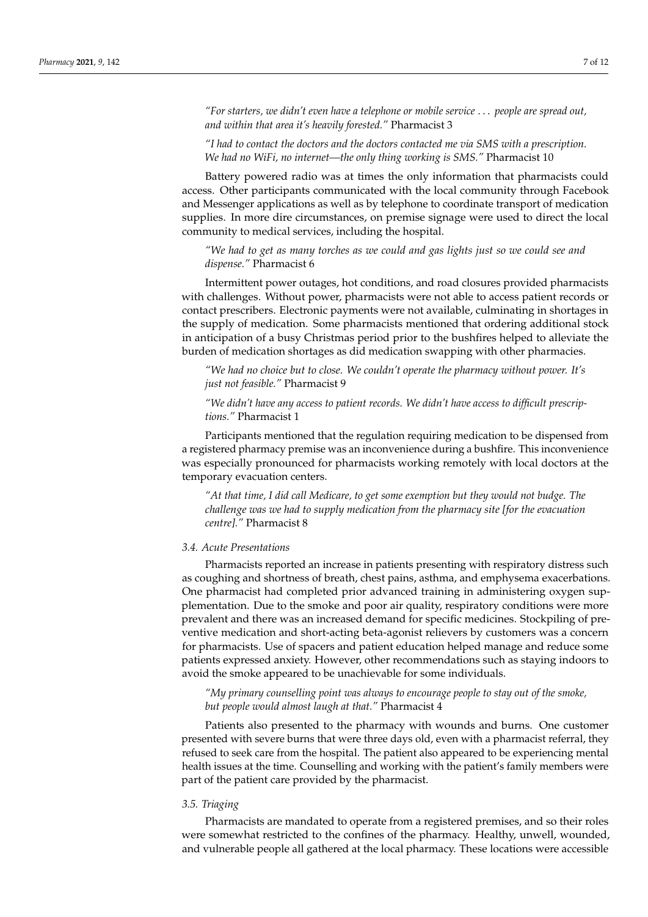*"For starters, we didn't even have a telephone or mobile service* . . . *people are spread out, and within that area it's heavily forested."* Pharmacist 3

*"I had to contact the doctors and the doctors contacted me via SMS with a prescription. We had no WiFi, no internet—the only thing working is SMS."* Pharmacist 10

Battery powered radio was at times the only information that pharmacists could access. Other participants communicated with the local community through Facebook and Messenger applications as well as by telephone to coordinate transport of medication supplies. In more dire circumstances, on premise signage were used to direct the local community to medical services, including the hospital.

*"We had to get as many torches as we could and gas lights just so we could see and dispense."* Pharmacist 6

Intermittent power outages, hot conditions, and road closures provided pharmacists with challenges. Without power, pharmacists were not able to access patient records or contact prescribers. Electronic payments were not available, culminating in shortages in the supply of medication. Some pharmacists mentioned that ordering additional stock in anticipation of a busy Christmas period prior to the bushfires helped to alleviate the burden of medication shortages as did medication swapping with other pharmacies.

*"We had no choice but to close. We couldn't operate the pharmacy without power. It's just not feasible."* Pharmacist 9

*"We didn't have any access to patient records. We didn't have access to difficult prescriptions."* Pharmacist 1

Participants mentioned that the regulation requiring medication to be dispensed from a registered pharmacy premise was an inconvenience during a bushfire. This inconvenience was especially pronounced for pharmacists working remotely with local doctors at the temporary evacuation centers.

*"At that time, I did call Medicare, to get some exemption but they would not budge. The challenge was we had to supply medication from the pharmacy site [for the evacuation centre]."* Pharmacist 8

#### *3.4. Acute Presentations*

Pharmacists reported an increase in patients presenting with respiratory distress such as coughing and shortness of breath, chest pains, asthma, and emphysema exacerbations. One pharmacist had completed prior advanced training in administering oxygen supplementation. Due to the smoke and poor air quality, respiratory conditions were more prevalent and there was an increased demand for specific medicines. Stockpiling of preventive medication and short-acting beta-agonist relievers by customers was a concern for pharmacists. Use of spacers and patient education helped manage and reduce some patients expressed anxiety. However, other recommendations such as staying indoors to avoid the smoke appeared to be unachievable for some individuals.

*"My primary counselling point was always to encourage people to stay out of the smoke, but people would almost laugh at that."* Pharmacist 4

Patients also presented to the pharmacy with wounds and burns. One customer presented with severe burns that were three days old, even with a pharmacist referral, they refused to seek care from the hospital. The patient also appeared to be experiencing mental health issues at the time. Counselling and working with the patient's family members were part of the patient care provided by the pharmacist.

#### *3.5. Triaging*

Pharmacists are mandated to operate from a registered premises, and so their roles were somewhat restricted to the confines of the pharmacy. Healthy, unwell, wounded, and vulnerable people all gathered at the local pharmacy. These locations were accessible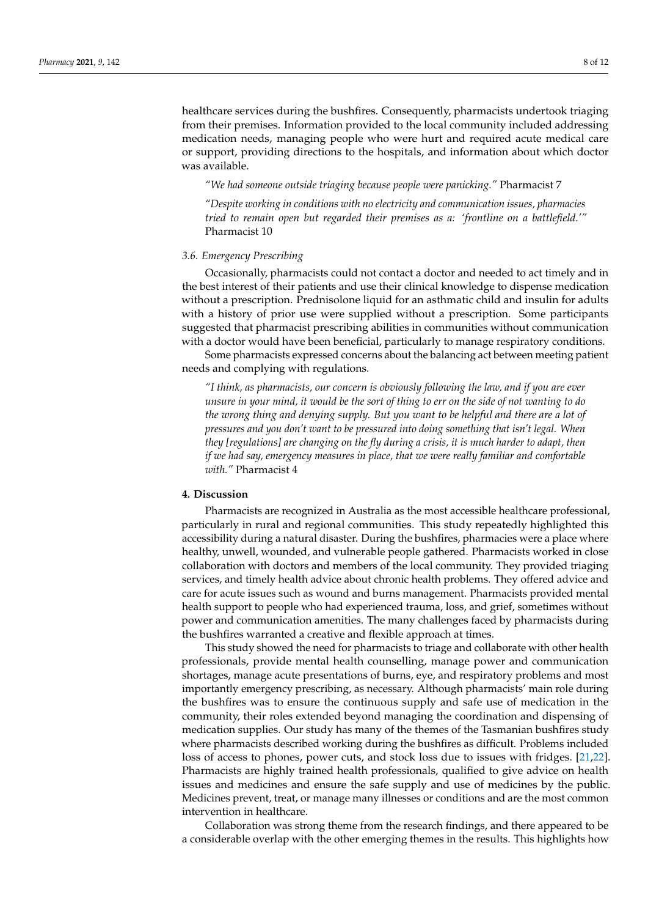healthcare services during the bushfires. Consequently, pharmacists undertook triaging from their premises. Information provided to the local community included addressing medication needs, managing people who were hurt and required acute medical care or support, providing directions to the hospitals, and information about which doctor was available.

*"We had someone outside triaging because people were panicking."* Pharmacist 7

*"Despite working in conditions with no electricity and communication issues, pharmacies tried to remain open but regarded their premises as a: 'frontline on a battlefield.'"* Pharmacist 10

#### *3.6. Emergency Prescribing*

Occasionally, pharmacists could not contact a doctor and needed to act timely and in the best interest of their patients and use their clinical knowledge to dispense medication without a prescription. Prednisolone liquid for an asthmatic child and insulin for adults with a history of prior use were supplied without a prescription. Some participants suggested that pharmacist prescribing abilities in communities without communication with a doctor would have been beneficial, particularly to manage respiratory conditions.

Some pharmacists expressed concerns about the balancing act between meeting patient needs and complying with regulations.

*"I think, as pharmacists, our concern is obviously following the law, and if you are ever unsure in your mind, it would be the sort of thing to err on the side of not wanting to do the wrong thing and denying supply. But you want to be helpful and there are a lot of pressures and you don't want to be pressured into doing something that isn't legal. When they [regulations] are changing on the fly during a crisis, it is much harder to adapt, then if we had say, emergency measures in place, that we were really familiar and comfortable with."* Pharmacist 4

#### **4. Discussion**

Pharmacists are recognized in Australia as the most accessible healthcare professional, particularly in rural and regional communities. This study repeatedly highlighted this accessibility during a natural disaster. During the bushfires, pharmacies were a place where healthy, unwell, wounded, and vulnerable people gathered. Pharmacists worked in close collaboration with doctors and members of the local community. They provided triaging services, and timely health advice about chronic health problems. They offered advice and care for acute issues such as wound and burns management. Pharmacists provided mental health support to people who had experienced trauma, loss, and grief, sometimes without power and communication amenities. The many challenges faced by pharmacists during the bushfires warranted a creative and flexible approach at times.

This study showed the need for pharmacists to triage and collaborate with other health professionals, provide mental health counselling, manage power and communication shortages, manage acute presentations of burns, eye, and respiratory problems and most importantly emergency prescribing, as necessary. Although pharmacists' main role during the bushfires was to ensure the continuous supply and safe use of medication in the community, their roles extended beyond managing the coordination and dispensing of medication supplies. Our study has many of the themes of the Tasmanian bushfires study where pharmacists described working during the bushfires as difficult. Problems included loss of access to phones, power cuts, and stock loss due to issues with fridges. [\[21,](#page-11-18)[22\]](#page-11-19). Pharmacists are highly trained health professionals, qualified to give advice on health issues and medicines and ensure the safe supply and use of medicines by the public. Medicines prevent, treat, or manage many illnesses or conditions and are the most common intervention in healthcare.

Collaboration was strong theme from the research findings, and there appeared to be a considerable overlap with the other emerging themes in the results. This highlights how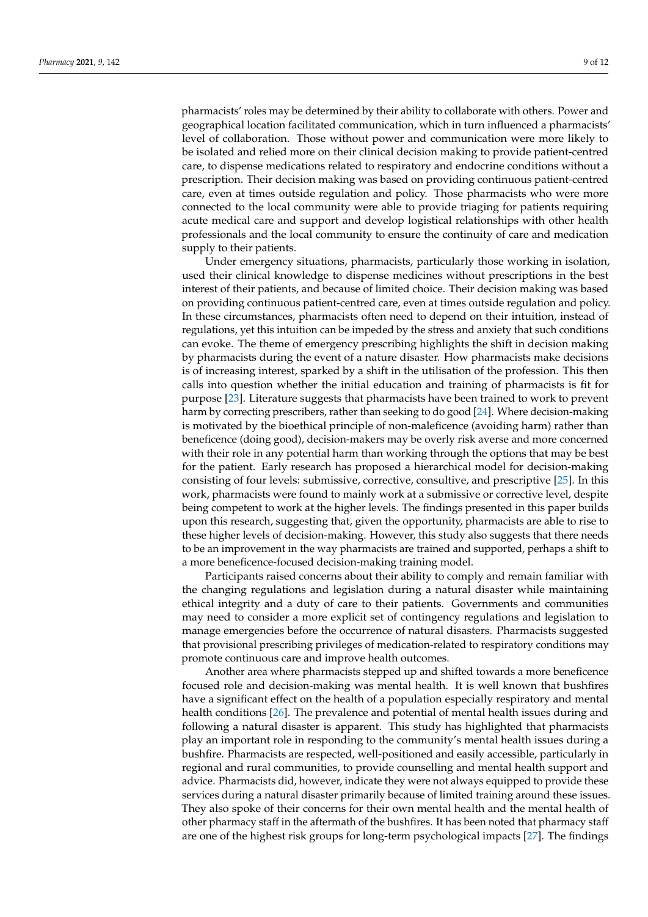pharmacists' roles may be determined by their ability to collaborate with others. Power and geographical location facilitated communication, which in turn influenced a pharmacists' level of collaboration. Those without power and communication were more likely to be isolated and relied more on their clinical decision making to provide patient-centred care, to dispense medications related to respiratory and endocrine conditions without a prescription. Their decision making was based on providing continuous patient-centred care, even at times outside regulation and policy. Those pharmacists who were more connected to the local community were able to provide triaging for patients requiring acute medical care and support and develop logistical relationships with other health professionals and the local community to ensure the continuity of care and medication supply to their patients.

Under emergency situations, pharmacists, particularly those working in isolation, used their clinical knowledge to dispense medicines without prescriptions in the best interest of their patients, and because of limited choice. Their decision making was based on providing continuous patient-centred care, even at times outside regulation and policy. In these circumstances, pharmacists often need to depend on their intuition, instead of regulations, yet this intuition can be impeded by the stress and anxiety that such conditions can evoke. The theme of emergency prescribing highlights the shift in decision making by pharmacists during the event of a nature disaster. How pharmacists make decisions is of increasing interest, sparked by a shift in the utilisation of the profession. This then calls into question whether the initial education and training of pharmacists is fit for purpose [\[23\]](#page-11-20). Literature suggests that pharmacists have been trained to work to prevent harm by correcting prescribers, rather than seeking to do good [\[24\]](#page-12-0). Where decision-making is motivated by the bioethical principle of non-maleficence (avoiding harm) rather than beneficence (doing good), decision-makers may be overly risk averse and more concerned with their role in any potential harm than working through the options that may be best for the patient. Early research has proposed a hierarchical model for decision-making consisting of four levels: submissive, corrective, consultive, and prescriptive [\[25\]](#page-12-1). In this work, pharmacists were found to mainly work at a submissive or corrective level, despite being competent to work at the higher levels. The findings presented in this paper builds upon this research, suggesting that, given the opportunity, pharmacists are able to rise to these higher levels of decision-making. However, this study also suggests that there needs to be an improvement in the way pharmacists are trained and supported, perhaps a shift to a more beneficence-focused decision-making training model.

Participants raised concerns about their ability to comply and remain familiar with the changing regulations and legislation during a natural disaster while maintaining ethical integrity and a duty of care to their patients. Governments and communities may need to consider a more explicit set of contingency regulations and legislation to manage emergencies before the occurrence of natural disasters. Pharmacists suggested that provisional prescribing privileges of medication-related to respiratory conditions may promote continuous care and improve health outcomes.

Another area where pharmacists stepped up and shifted towards a more beneficence focused role and decision-making was mental health. It is well known that bushfires have a significant effect on the health of a population especially respiratory and mental health conditions [\[26\]](#page-12-2). The prevalence and potential of mental health issues during and following a natural disaster is apparent. This study has highlighted that pharmacists play an important role in responding to the community's mental health issues during a bushfire. Pharmacists are respected, well-positioned and easily accessible, particularly in regional and rural communities, to provide counselling and mental health support and advice. Pharmacists did, however, indicate they were not always equipped to provide these services during a natural disaster primarily because of limited training around these issues. They also spoke of their concerns for their own mental health and the mental health of other pharmacy staff in the aftermath of the bushfires. It has been noted that pharmacy staff are one of the highest risk groups for long-term psychological impacts [\[27\]](#page-12-3). The findings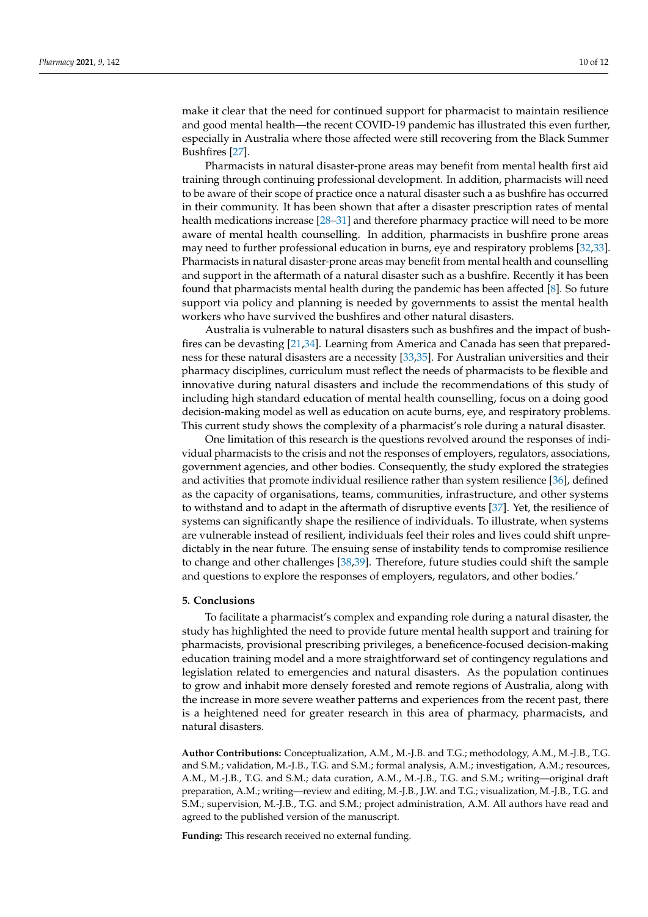make it clear that the need for continued support for pharmacist to maintain resilience and good mental health—the recent COVID-19 pandemic has illustrated this even further, especially in Australia where those affected were still recovering from the Black Summer Bushfires [\[27\]](#page-12-3).

Pharmacists in natural disaster-prone areas may benefit from mental health first aid training through continuing professional development. In addition, pharmacists will need to be aware of their scope of practice once a natural disaster such a as bushfire has occurred in their community. It has been shown that after a disaster prescription rates of mental health medications increase [\[28](#page-12-4)[–31\]](#page-12-5) and therefore pharmacy practice will need to be more aware of mental health counselling. In addition, pharmacists in bushfire prone areas may need to further professional education in burns, eye and respiratory problems [\[32](#page-12-6)[,33\]](#page-12-7). Pharmacists in natural disaster-prone areas may benefit from mental health and counselling and support in the aftermath of a natural disaster such as a bushfire. Recently it has been found that pharmacists mental health during the pandemic has been affected [\[8\]](#page-11-7). So future support via policy and planning is needed by governments to assist the mental health workers who have survived the bushfires and other natural disasters.

Australia is vulnerable to natural disasters such as bushfires and the impact of bushfires can be devasting [\[21,](#page-11-18)[34\]](#page-12-8). Learning from America and Canada has seen that preparedness for these natural disasters are a necessity [\[33,](#page-12-7)[35\]](#page-12-9). For Australian universities and their pharmacy disciplines, curriculum must reflect the needs of pharmacists to be flexible and innovative during natural disasters and include the recommendations of this study of including high standard education of mental health counselling, focus on a doing good decision-making model as well as education on acute burns, eye, and respiratory problems. This current study shows the complexity of a pharmacist's role during a natural disaster.

One limitation of this research is the questions revolved around the responses of individual pharmacists to the crisis and not the responses of employers, regulators, associations, government agencies, and other bodies. Consequently, the study explored the strategies and activities that promote individual resilience rather than system resilience [\[36\]](#page-12-10), defined as the capacity of organisations, teams, communities, infrastructure, and other systems to withstand and to adapt in the aftermath of disruptive events [\[37\]](#page-12-11). Yet, the resilience of systems can significantly shape the resilience of individuals. To illustrate, when systems are vulnerable instead of resilient, individuals feel their roles and lives could shift unpredictably in the near future. The ensuing sense of instability tends to compromise resilience to change and other challenges [\[38,](#page-12-12)[39\]](#page-12-13). Therefore, future studies could shift the sample and questions to explore the responses of employers, regulators, and other bodies.'

### **5. Conclusions**

To facilitate a pharmacist's complex and expanding role during a natural disaster, the study has highlighted the need to provide future mental health support and training for pharmacists, provisional prescribing privileges, a beneficence-focused decision-making education training model and a more straightforward set of contingency regulations and legislation related to emergencies and natural disasters. As the population continues to grow and inhabit more densely forested and remote regions of Australia, along with the increase in more severe weather patterns and experiences from the recent past, there is a heightened need for greater research in this area of pharmacy, pharmacists, and natural disasters.

**Author Contributions:** Conceptualization, A.M., M.-J.B. and T.G.; methodology, A.M., M.-J.B., T.G. and S.M.; validation, M.-J.B., T.G. and S.M.; formal analysis, A.M.; investigation, A.M.; resources, A.M., M.-J.B., T.G. and S.M.; data curation, A.M., M.-J.B., T.G. and S.M.; writing—original draft preparation, A.M.; writing—review and editing, M.-J.B., J.W. and T.G.; visualization, M.-J.B., T.G. and S.M.; supervision, M.-J.B., T.G. and S.M.; project administration, A.M. All authors have read and agreed to the published version of the manuscript.

**Funding:** This research received no external funding.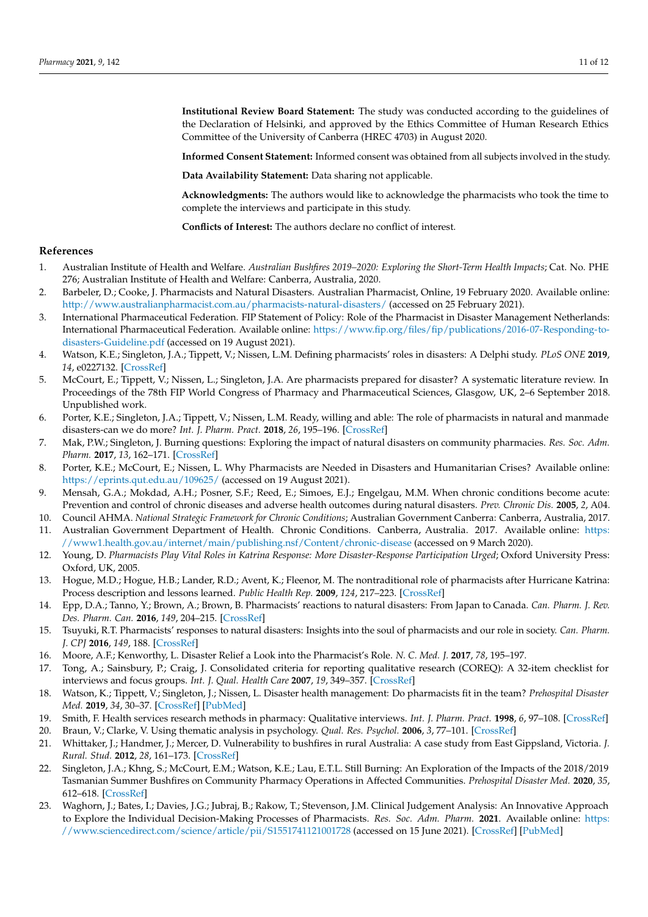**Institutional Review Board Statement:** The study was conducted according to the guidelines of the Declaration of Helsinki, and approved by the Ethics Committee of Human Research Ethics Committee of the University of Canberra (HREC 4703) in August 2020.

**Informed Consent Statement:** Informed consent was obtained from all subjects involved in the study.

**Data Availability Statement:** Data sharing not applicable.

**Acknowledgments:** The authors would like to acknowledge the pharmacists who took the time to complete the interviews and participate in this study.

**Conflicts of Interest:** The authors declare no conflict of interest.

#### **References**

- <span id="page-11-0"></span>1. Australian Institute of Health and Welfare. *Australian Bushfires 2019–2020: Exploring the Short-Term Health Impacts*; Cat. No. PHE 276; Australian Institute of Health and Welfare: Canberra, Australia, 2020.
- <span id="page-11-1"></span>2. Barbeler, D.; Cooke, J. Pharmacists and Natural Disasters. Australian Pharmacist, Online, 19 February 2020. Available online: <http://www.australianpharmacist.com.au/pharmacists-natural-disasters/> (accessed on 25 February 2021).
- <span id="page-11-2"></span>3. International Pharmaceutical Federation. FIP Statement of Policy: Role of the Pharmacist in Disaster Management Netherlands: International Pharmaceutical Federation. Available online: [https://www.fip.org/files/fip/publications/2016-07-Responding-to](https://www.fip.org/files/fip/publications/2016-07-Responding-to-disasters-Guideline.pdf)[disasters-Guideline.pdf](https://www.fip.org/files/fip/publications/2016-07-Responding-to-disasters-Guideline.pdf) (accessed on 19 August 2021).
- <span id="page-11-3"></span>4. Watson, K.E.; Singleton, J.A.; Tippett, V.; Nissen, L.M. Defining pharmacists' roles in disasters: A Delphi study. *PLoS ONE* **2019**, *14*, e0227132. [\[CrossRef\]](http://doi.org/10.1371/journal.pone.0227132)
- <span id="page-11-4"></span>5. McCourt, E.; Tippett, V.; Nissen, L.; Singleton, J.A. Are pharmacists prepared for disaster? A systematic literature review. In Proceedings of the 78th FIP World Congress of Pharmacy and Pharmaceutical Sciences, Glasgow, UK, 2–6 September 2018. Unpublished work.
- <span id="page-11-5"></span>6. Porter, K.E.; Singleton, J.A.; Tippett, V.; Nissen, L.M. Ready, willing and able: The role of pharmacists in natural and manmade disasters-can we do more? *Int. J. Pharm. Pract.* **2018**, *26*, 195–196. [\[CrossRef\]](http://doi.org/10.1111/ijpp.12351)
- <span id="page-11-6"></span>7. Mak, P.W.; Singleton, J. Burning questions: Exploring the impact of natural disasters on community pharmacies. *Res. Soc. Adm. Pharm.* **2017**, *13*, 162–171. [\[CrossRef\]](http://doi.org/10.1016/j.sapharm.2015.12.015)
- <span id="page-11-7"></span>8. Porter, K.E.; McCourt, E.; Nissen, L. Why Pharmacists are Needed in Disasters and Humanitarian Crises? Available online: <https://eprints.qut.edu.au/109625/> (accessed on 19 August 2021).
- <span id="page-11-8"></span>9. Mensah, G.A.; Mokdad, A.H.; Posner, S.F.; Reed, E.; Simoes, E.J.; Engelgau, M.M. When chronic conditions become acute: Prevention and control of chronic diseases and adverse health outcomes during natural disasters. *Prev. Chronic Dis.* **2005**, *2*, A04.
- <span id="page-11-9"></span>10. Council AHMA. *National Strategic Framework for Chronic Conditions*; Australian Government Canberra: Canberra, Australia, 2017.
- <span id="page-11-10"></span>11. Australian Government Department of Health. Chronic Conditions. Canberra, Australia. 2017. Available online: [https:](https://www1.health.gov.au/internet/main/publishing.nsf/Content/chronic-disease) [//www1.health.gov.au/internet/main/publishing.nsf/Content/chronic-disease](https://www1.health.gov.au/internet/main/publishing.nsf/Content/chronic-disease) (accessed on 9 March 2020).
- <span id="page-11-11"></span>12. Young, D. *Pharmacists Play Vital Roles in Katrina Response: More Disaster-Response Participation Urged*; Oxford University Press: Oxford, UK, 2005.
- 13. Hogue, M.D.; Hogue, H.B.; Lander, R.D.; Avent, K.; Fleenor, M. The nontraditional role of pharmacists after Hurricane Katrina: Process description and lessons learned. *Public Health Rep.* **2009**, *124*, 217–223. [\[CrossRef\]](http://doi.org/10.1177/003335490912400209)
- 14. Epp, D.A.; Tanno, Y.; Brown, A.; Brown, B. Pharmacists' reactions to natural disasters: From Japan to Canada. *Can. Pharm. J. Rev. Des. Pharm. Can.* **2016**, *149*, 204–215. [\[CrossRef\]](http://doi.org/10.1177/1715163516652423)
- <span id="page-11-12"></span>15. Tsuyuki, R.T. Pharmacists' responses to natural disasters: Insights into the soul of pharmacists and our role in society. *Can. Pharm. J. CPJ* **2016**, *149*, 188. [\[CrossRef\]](http://doi.org/10.1177/1715163516653107)
- <span id="page-11-13"></span>16. Moore, A.F.; Kenworthy, L. Disaster Relief a Look into the Pharmacist's Role. *N. C. Med. J.* **2017**, *78*, 195–197.
- <span id="page-11-14"></span>17. Tong, A.; Sainsbury, P.; Craig, J. Consolidated criteria for reporting qualitative research (COREQ): A 32-item checklist for interviews and focus groups. *Int. J. Qual. Health Care* **2007**, *19*, 349–357. [\[CrossRef\]](http://doi.org/10.1093/intqhc/mzm042)
- <span id="page-11-15"></span>18. Watson, K.; Tippett, V.; Singleton, J.; Nissen, L. Disaster health management: Do pharmacists fit in the team? *Prehospital Disaster Med.* **2019**, *34*, 30–37. [\[CrossRef\]](http://doi.org/10.1017/S1049023X18001152) [\[PubMed\]](http://www.ncbi.nlm.nih.gov/pubmed/30604658)
- <span id="page-11-16"></span>19. Smith, F. Health services research methods in pharmacy: Qualitative interviews. *Int. J. Pharm. Pract.* **1998**, *6*, 97–108. [\[CrossRef\]](http://doi.org/10.1111/j.2042-7174.1998.tb00923.x)
- <span id="page-11-17"></span>20. Braun, V.; Clarke, V. Using thematic analysis in psychology. *Qual. Res. Psychol.* **2006**, *3*, 77–101. [\[CrossRef\]](http://doi.org/10.1191/1478088706qp063oa)
- <span id="page-11-18"></span>21. Whittaker, J.; Handmer, J.; Mercer, D. Vulnerability to bushfires in rural Australia: A case study from East Gippsland, Victoria. *J. Rural. Stud.* **2012**, *28*, 161–173. [\[CrossRef\]](http://doi.org/10.1016/j.jrurstud.2011.11.002)
- <span id="page-11-19"></span>22. Singleton, J.A.; Khng, S.; McCourt, E.M.; Watson, K.E.; Lau, E.T.L. Still Burning: An Exploration of the Impacts of the 2018/2019 Tasmanian Summer Bushfires on Community Pharmacy Operations in Affected Communities. *Prehospital Disaster Med.* **2020**, *35*, 612–618. [\[CrossRef\]](http://doi.org/10.1017/S1049023X20001077)
- <span id="page-11-20"></span>23. Waghorn, J.; Bates, I.; Davies, J.G.; Jubraj, B.; Rakow, T.; Stevenson, J.M. Clinical Judgement Analysis: An Innovative Approach to Explore the Individual Decision-Making Processes of Pharmacists. *Res. Soc. Adm. Pharm.* **2021**. Available online: [https:](https://www.sciencedirect.com/science/article/pii/S1551741121001728) [//www.sciencedirect.com/science/article/pii/S1551741121001728](https://www.sciencedirect.com/science/article/pii/S1551741121001728) (accessed on 15 June 2021). [\[CrossRef\]](http://doi.org/10.1016/j.sapharm.2021.05.006) [\[PubMed\]](http://www.ncbi.nlm.nih.gov/pubmed/34059473)